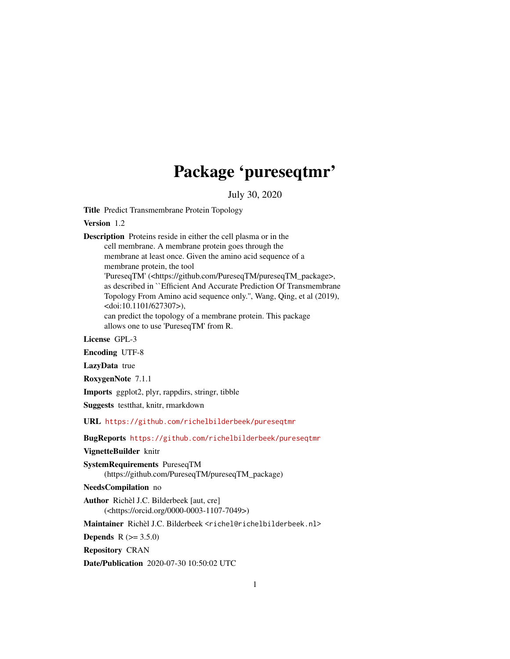# Package 'pureseqtmr'

July 30, 2020

<span id="page-0-0"></span>Title Predict Transmembrane Protein Topology

Version 1.2

Description Proteins reside in either the cell plasma or in the cell membrane. A membrane protein goes through the membrane at least once. Given the amino acid sequence of a membrane protein, the tool 'PureseqTM' (<https://github.com/PureseqTM/pureseqTM\_package>, as described in ``Efficient And Accurate Prediction Of Transmembrane Topology From Amino acid sequence only.'', Wang, Qing, et al (2019), <doi:10.1101/627307>), can predict the topology of a membrane protein. This package allows one to use 'PureseqTM' from R.

License GPL-3

Encoding UTF-8

LazyData true

RoxygenNote 7.1.1

Imports ggplot2, plyr, rappdirs, stringr, tibble

Suggests testthat, knitr, rmarkdown

URL <https://github.com/richelbilderbeek/pureseqtmr>

BugReports <https://github.com/richelbilderbeek/pureseqtmr>

VignetteBuilder knitr

SystemRequirements PureseqTM (https://github.com/PureseqTM/pureseqTM\_package)

NeedsCompilation no

Author Richèl J.C. Bilderbeek [aut, cre] (<https://orcid.org/0000-0003-1107-7049>)

Maintainer Richèl J.C. Bilderbeek <richel@richelbilderbeek.nl>

**Depends**  $R (= 3.5.0)$ 

Repository CRAN

Date/Publication 2020-07-30 10:50:02 UTC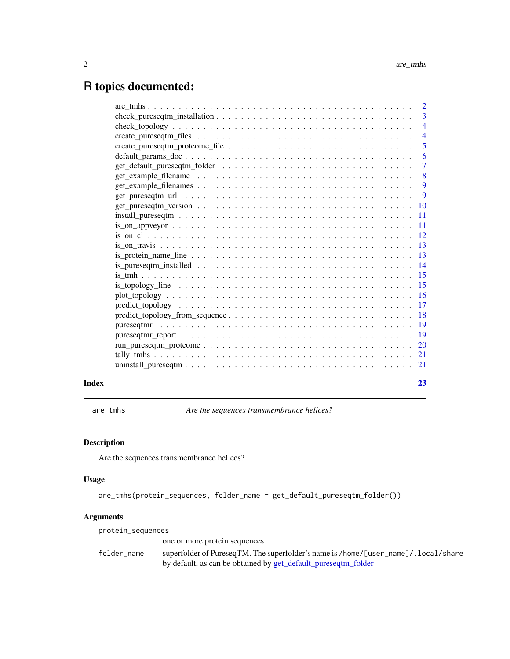## <span id="page-1-0"></span>R topics documented:

|       |                                                                                                                                                         | $\overline{4}$            |
|-------|---------------------------------------------------------------------------------------------------------------------------------------------------------|---------------------------|
|       |                                                                                                                                                         |                           |
|       |                                                                                                                                                         | $\overline{5}$            |
|       |                                                                                                                                                         |                           |
|       |                                                                                                                                                         | $\overline{7}$            |
|       |                                                                                                                                                         | $\overline{\phantom{0}}8$ |
|       |                                                                                                                                                         |                           |
|       |                                                                                                                                                         |                           |
|       |                                                                                                                                                         |                           |
|       | $install_pureseqtm \ldots \ldots \ldots \ldots \ldots \ldots \ldots \ldots \ldots \ldots \ldots \ldots \ldots 11$                                       |                           |
|       | $is\_on\_appvey$ $\ldots$ $\ldots$ $\ldots$ $\ldots$ $\ldots$ $\ldots$ $\ldots$ $\ldots$ $\ldots$ $\ldots$ $\ldots$ $\ldots$ $\ldots$ $\ldots$ $\ldots$ |                           |
|       |                                                                                                                                                         |                           |
|       |                                                                                                                                                         |                           |
|       |                                                                                                                                                         |                           |
|       |                                                                                                                                                         |                           |
|       |                                                                                                                                                         |                           |
|       |                                                                                                                                                         |                           |
|       |                                                                                                                                                         |                           |
|       |                                                                                                                                                         |                           |
|       |                                                                                                                                                         |                           |
|       |                                                                                                                                                         |                           |
|       |                                                                                                                                                         |                           |
|       |                                                                                                                                                         |                           |
|       |                                                                                                                                                         |                           |
|       |                                                                                                                                                         |                           |
| Index |                                                                                                                                                         | 23                        |

are\_tmhs *Are the sequences transmembrance helices?*

#### Description

Are the sequences transmembrance helices?

#### Usage

are\_tmhs(protein\_sequences, folder\_name = get\_default\_pureseqtm\_folder())

#### Arguments

| protein_sequences |                                                                                     |
|-------------------|-------------------------------------------------------------------------------------|
|                   | one or more protein sequences                                                       |
| folder name       | superfolder of PureseqTM. The superfolder's name is /home/[user_name]/. local/share |
|                   | by default, as can be obtained by get_default_pureseqtm_folder                      |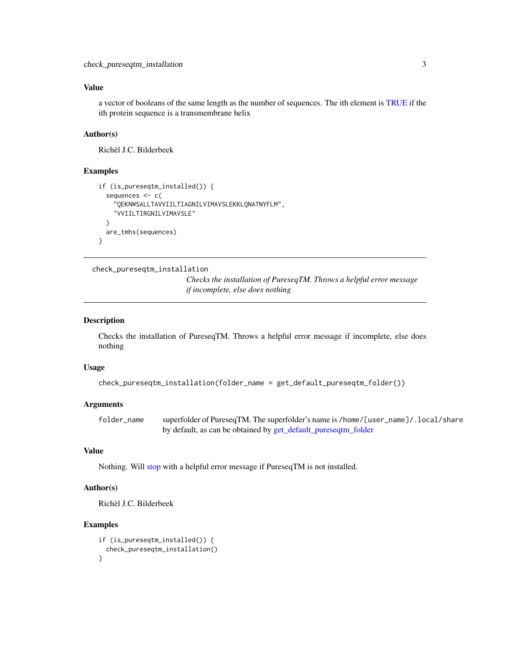<span id="page-2-0"></span>a vector of booleans of the same length as the number of sequences. The ith element is [TRUE](#page-0-0) if the ith protein sequence is a transmembrane helix

#### Author(s)

Richèl J.C. Bilderbeek

#### Examples

```
if (is_pureseqtm_installed()) {
 sequences <- c(
    "QEKNWSALLTAVVIILTIAGNILVIMAVSLEKKLQNATNYFLM",
    "VVIILTIRGNILVIMAVSLE"
 )
 are_tmhs(sequences)
}
```
check\_pureseqtm\_installation

*Checks the installation of PureseqTM. Throws a helpful error message if incomplete, else does nothing*

#### Description

Checks the installation of PureseqTM. Throws a helpful error message if incomplete, else does nothing

#### Usage

```
check_pureseqtm_installation(folder_name = get_default_pureseqtm_folder())
```
#### Arguments

folder\_name superfolder of PureseqTM. The superfolder's name is /home/[user\_name]/.local/share by default, as can be obtained by [get\\_default\\_pureseqtm\\_folder](#page-6-1)

#### Value

Nothing. Will [stop](#page-0-0) with a helpful error message if PureseqTM is not installed.

#### Author(s)

Richèl J.C. Bilderbeek

```
if (is_pureseqtm_installed()) {
 check_pureseqtm_installation()
}
```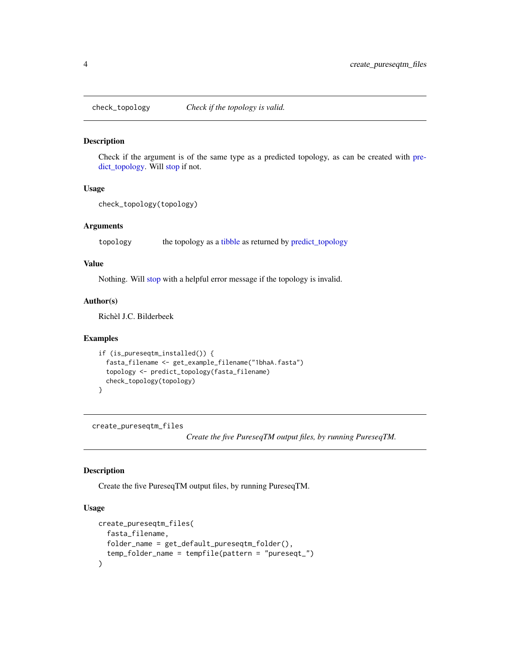<span id="page-3-0"></span>

#### Description

Check if the argument is of the same type as a predicted topology, as can be created with [pre](#page-16-1)[dict\\_topology.](#page-16-1) Will [stop](#page-0-0) if not.

#### Usage

```
check_topology(topology)
```
#### Arguments

topology the topology as a [tibble](#page-0-0) as returned by [predict\\_topology](#page-16-1)

#### Value

Nothing. Will [stop](#page-0-0) with a helpful error message if the topology is invalid.

#### Author(s)

Richèl J.C. Bilderbeek

#### Examples

```
if (is_pureseqtm_installed()) {
 fasta_filename <- get_example_filename("1bhaA.fasta")
 topology <- predict_topology(fasta_filename)
 check_topology(topology)
}
```
<span id="page-3-1"></span>create\_pureseqtm\_files

*Create the five PureseqTM output files, by running PureseqTM.*

#### Description

Create the five PureseqTM output files, by running PureseqTM.

#### Usage

```
create_pureseqtm_files(
  fasta_filename,
  folder_name = get_default_pureseqtm_folder(),
  temp_folder_name = tempfile(pattern = "pureseqt_")
\mathcal{E}
```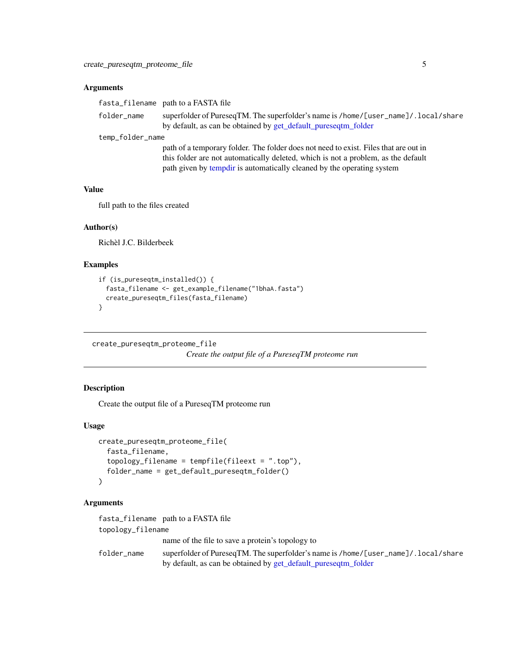#### <span id="page-4-0"></span>Arguments

|                  | fasta_filename path to a FASTA file                                                                                                                   |
|------------------|-------------------------------------------------------------------------------------------------------------------------------------------------------|
| folder_name      | superfolder of PureseqTM. The superfolder's name is /home/[user_name]/. local/share<br>by default, as can be obtained by get_default_pureseqtm_folder |
| temp_folder_name |                                                                                                                                                       |
|                  | path of a temporary folder. The folder does not need to exist. Files that are out in                                                                  |
|                  | this folder are not automatically deleted, which is not a problem, as the default                                                                     |

path given by [tempdir](#page-0-0) is automatically cleaned by the operating system

#### Value

full path to the files created

#### Author(s)

Richèl J.C. Bilderbeek

#### Examples

```
if (is_pureseqtm_installed()) {
 fasta_filename <- get_example_filename("1bhaA.fasta")
 create_pureseqtm_files(fasta_filename)
}
```
create\_pureseqtm\_proteome\_file

*Create the output file of a PureseqTM proteome run*

#### Description

Create the output file of a PureseqTM proteome run

#### Usage

```
create_pureseqtm_proteome_file(
  fasta_filename,
  topology_filename = tempfile(fileext = ".top"),
  folder_name = get_default_pureseqtm_folder()
\lambda
```
#### Arguments

fasta\_filename path to a FASTA file topology\_filename name of the file to save a protein's topology to folder\_name superfolder of PureseqTM. The superfolder's name is /home/[user\_name]/.local/share by default, as can be obtained by [get\\_default\\_pureseqtm\\_folder](#page-6-1)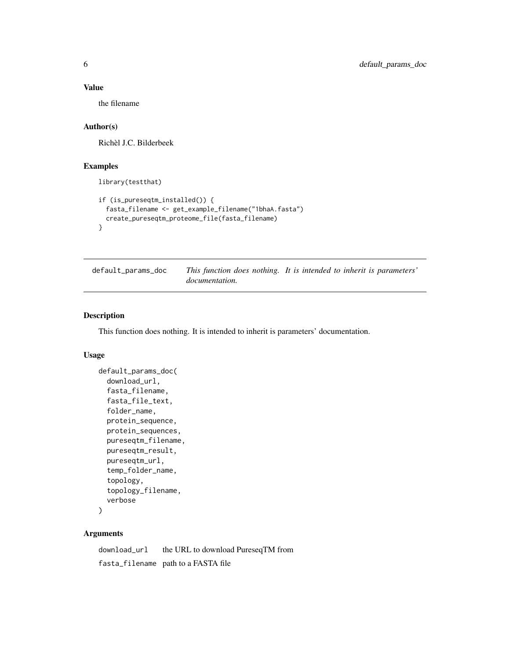the filename

#### Author(s)

Richèl J.C. Bilderbeek

#### Examples

library(testthat)

```
if (is_pureseqtm_installed()) {
 fasta_filename <- get_example_filename("1bhaA.fasta")
 create_pureseqtm_proteome_file(fasta_filename)
}
```
default\_params\_doc *This function does nothing. It is intended to inherit is parameters' documentation.*

#### Description

This function does nothing. It is intended to inherit is parameters' documentation.

#### Usage

```
default_params_doc(
  download_url,
  fasta_filename,
  fasta_file_text,
  folder_name,
  protein_sequence,
  protein_sequences,
 pureseqtm_filename,
 pureseqtm_result,
  pureseqtm_url,
  temp_folder_name,
  topology,
  topology_filename,
  verbose
```

```
)
```
#### Arguments

download\_url the URL to download PureseqTM from fasta\_filename path to a FASTA file

<span id="page-5-0"></span>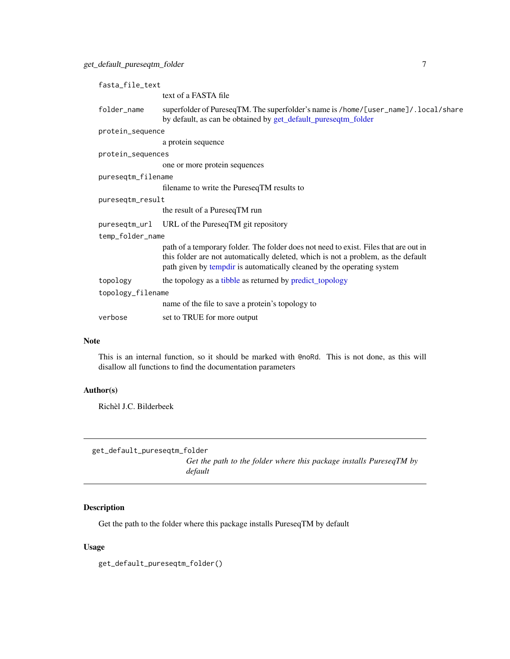<span id="page-6-0"></span>

| fasta_file_text    |                                                                                                                                                                                                                                                     |  |
|--------------------|-----------------------------------------------------------------------------------------------------------------------------------------------------------------------------------------------------------------------------------------------------|--|
|                    | text of a FASTA file                                                                                                                                                                                                                                |  |
| folder_name        | superfolder of PureseqTM. The superfolder's name is /home/[user_name]/. local/share<br>by default, as can be obtained by get_default_pureseqtm_folder                                                                                               |  |
| protein_sequence   |                                                                                                                                                                                                                                                     |  |
|                    | a protein sequence                                                                                                                                                                                                                                  |  |
| protein_sequences  |                                                                                                                                                                                                                                                     |  |
|                    | one or more protein sequences                                                                                                                                                                                                                       |  |
| pureseqtm_filename |                                                                                                                                                                                                                                                     |  |
|                    | filename to write the PureseqTM results to                                                                                                                                                                                                          |  |
| pureseqtm_result   |                                                                                                                                                                                                                                                     |  |
|                    | the result of a PureseqTM run                                                                                                                                                                                                                       |  |
|                    | pureseqtm_url URL of the PureseqTM git repository                                                                                                                                                                                                   |  |
| temp_folder_name   |                                                                                                                                                                                                                                                     |  |
|                    | path of a temporary folder. The folder does not need to exist. Files that are out in<br>this folder are not automatically deleted, which is not a problem, as the default<br>path given by tempdir is automatically cleaned by the operating system |  |
| topology           | the topology as a tibble as returned by predict_topology                                                                                                                                                                                            |  |
| topology_filename  |                                                                                                                                                                                                                                                     |  |
|                    | name of the file to save a protein's topology to                                                                                                                                                                                                    |  |
| verbose            | set to TRUE for more output                                                                                                                                                                                                                         |  |
|                    |                                                                                                                                                                                                                                                     |  |

#### Note

This is an internal function, so it should be marked with @noRd. This is not done, as this will disallow all functions to find the documentation parameters

#### Author(s)

Richèl J.C. Bilderbeek

<span id="page-6-1"></span>get\_default\_pureseqtm\_folder *Get the path to the folder where this package installs PureseqTM by default*

#### Description

Get the path to the folder where this package installs PureseqTM by default

#### Usage

get\_default\_pureseqtm\_folder()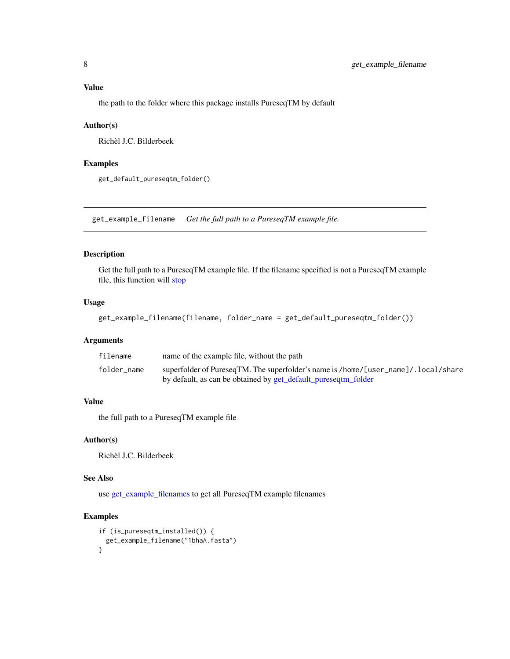<span id="page-7-0"></span>the path to the folder where this package installs PureseqTM by default

#### Author(s)

Richèl J.C. Bilderbeek

#### Examples

get\_default\_pureseqtm\_folder()

<span id="page-7-1"></span>get\_example\_filename *Get the full path to a PureseqTM example file.*

#### Description

Get the full path to a PureseqTM example file. If the filename specified is not a PureseqTM example file, this function will [stop](#page-0-0)

#### Usage

get\_example\_filename(filename, folder\_name = get\_default\_pureseqtm\_folder())

#### Arguments

| filename    | name of the example file, without the path                                          |
|-------------|-------------------------------------------------------------------------------------|
| folder name | superfolder of PureseqTM. The superfolder's name is /home/[user_name]/. local/share |
|             | by default, as can be obtained by get_default_pureseqtm_folder                      |

#### Value

the full path to a PureseqTM example file

#### Author(s)

Richèl J.C. Bilderbeek

#### See Also

use [get\\_example\\_filenames](#page-8-1) to get all PureseqTM example filenames

```
if (is_pureseqtm_installed()) {
 get_example_filename("1bhaA.fasta")
}
```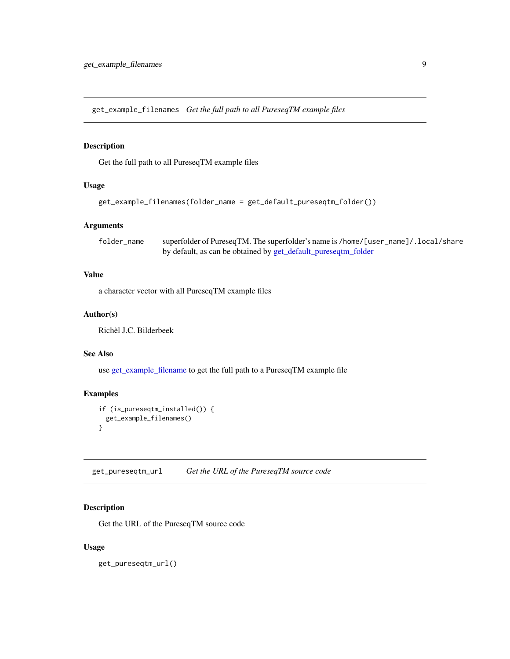<span id="page-8-1"></span><span id="page-8-0"></span>get\_example\_filenames *Get the full path to all PureseqTM example files*

#### Description

Get the full path to all PureseqTM example files

#### Usage

```
get_example_filenames(folder_name = get_default_pureseqtm_folder())
```
#### Arguments

folder\_name superfolder of PureseqTM. The superfolder's name is /home/[user\_name]/.local/share by default, as can be obtained by [get\\_default\\_pureseqtm\\_folder](#page-6-1)

#### Value

a character vector with all PureseqTM example files

#### Author(s)

Richèl J.C. Bilderbeek

#### See Also

use [get\\_example\\_filename](#page-7-1) to get the full path to a PureseqTM example file

#### Examples

```
if (is_pureseqtm_installed()) {
 get_example_filenames()
}
```
get\_pureseqtm\_url *Get the URL of the PureseqTM source code*

#### Description

Get the URL of the PureseqTM source code

#### Usage

get\_pureseqtm\_url()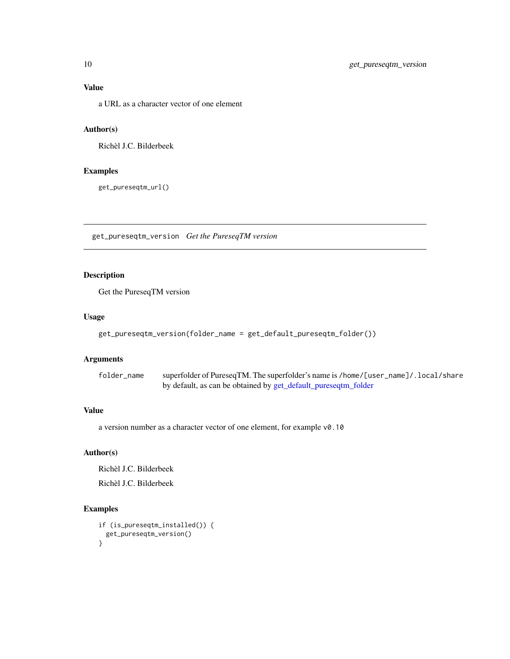<span id="page-9-0"></span>a URL as a character vector of one element

#### Author(s)

Richèl J.C. Bilderbeek

#### Examples

get\_pureseqtm\_url()

get\_pureseqtm\_version *Get the PureseqTM version*

#### Description

Get the PureseqTM version

#### Usage

```
get_pureseqtm_version(folder_name = get_default_pureseqtm_folder())
```
#### Arguments

folder\_name superfolder of PureseqTM. The superfolder's name is /home/[user\_name]/.local/share by default, as can be obtained by [get\\_default\\_pureseqtm\\_folder](#page-6-1)

#### Value

a version number as a character vector of one element, for example v0.10

#### Author(s)

Richèl J.C. Bilderbeek

Richèl J.C. Bilderbeek

```
if (is_pureseqtm_installed()) {
 get_pureseqtm_version()
}
```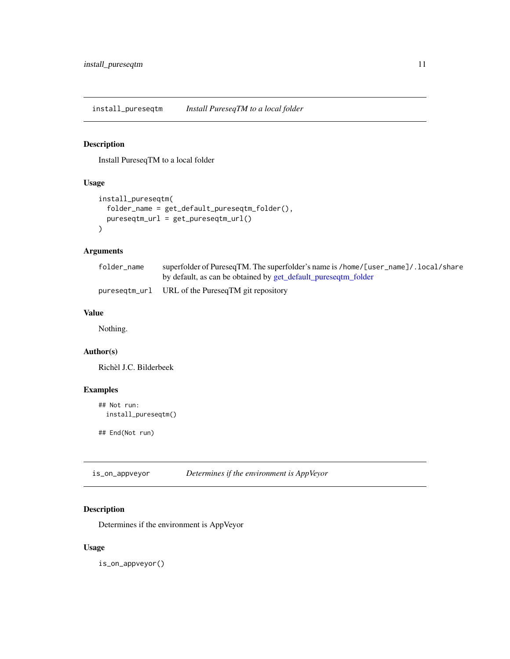<span id="page-10-0"></span>install\_pureseqtm *Install PureseqTM to a local folder*

#### Description

Install PureseqTM to a local folder

#### Usage

```
install_pureseqtm(
  folder_name = get_default_pureseqtm_folder(),
  pureseqtm_url = get_pureseqtm_url()
\overline{\phantom{a}}
```
#### Arguments

| folder name | superfolder of PureseqTM. The superfolder's name is /home/[user_name]/. local/share |
|-------------|-------------------------------------------------------------------------------------|
|             | by default, as can be obtained by get_default_pureseqtm_folder                      |
|             | pureseqtm_url URL of the PureseqTM git repository                                   |

#### Value

Nothing.

#### Author(s)

Richèl J.C. Bilderbeek

#### Examples

```
## Not run:
 install_pureseqtm()
```
## End(Not run)

| is_on_appveyor | Determines if the environment is AppVeyor |  |
|----------------|-------------------------------------------|--|
|----------------|-------------------------------------------|--|

#### Description

Determines if the environment is AppVeyor

#### Usage

is\_on\_appveyor()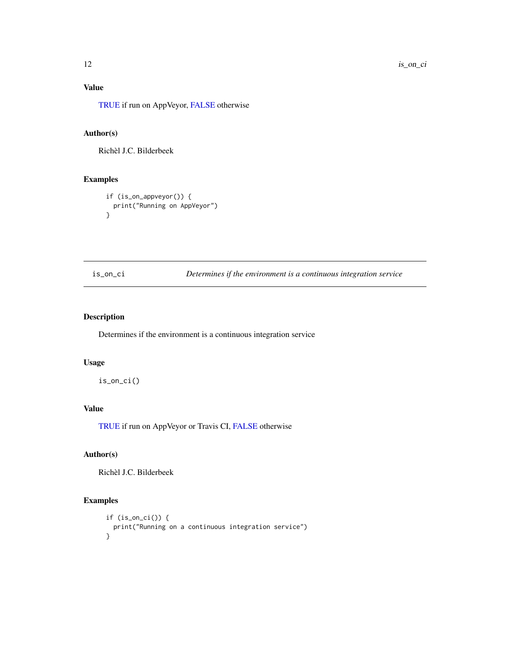[TRUE](#page-0-0) if run on AppVeyor, [FALSE](#page-0-0) otherwise

#### Author(s)

Richèl J.C. Bilderbeek

#### Examples

```
if (is_on_appveyor()) {
  print("Running on AppVeyor")
}
```
is\_on\_ci *Determines if the environment is a continuous integration service*

### Description

Determines if the environment is a continuous integration service

#### Usage

is\_on\_ci()

#### Value

[TRUE](#page-0-0) if run on AppVeyor or Travis CI, [FALSE](#page-0-0) otherwise

#### Author(s)

Richèl J.C. Bilderbeek

```
if (is_on_ci()) {
  print("Running on a continuous integration service")
}
```
<span id="page-11-0"></span>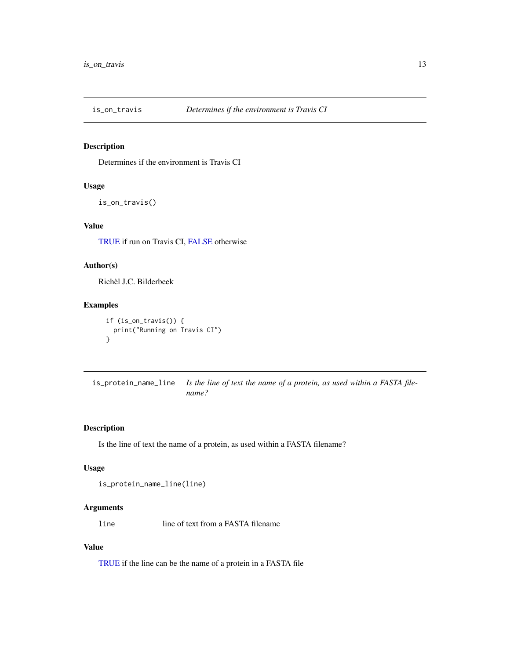<span id="page-12-0"></span>

#### Description

Determines if the environment is Travis CI

#### Usage

is\_on\_travis()

#### Value

[TRUE](#page-0-0) if run on Travis CI, [FALSE](#page-0-0) otherwise

#### Author(s)

Richèl J.C. Bilderbeek

#### Examples

```
if (is_on_travis()) {
  print("Running on Travis CI")
}
```
is\_protein\_name\_line *Is the line of text the name of a protein, as used within a FASTA filename?*

#### Description

Is the line of text the name of a protein, as used within a FASTA filename?

#### Usage

is\_protein\_name\_line(line)

#### Arguments

line line of text from a FASTA filename

#### Value

[TRUE](#page-0-0) if the line can be the name of a protein in a FASTA file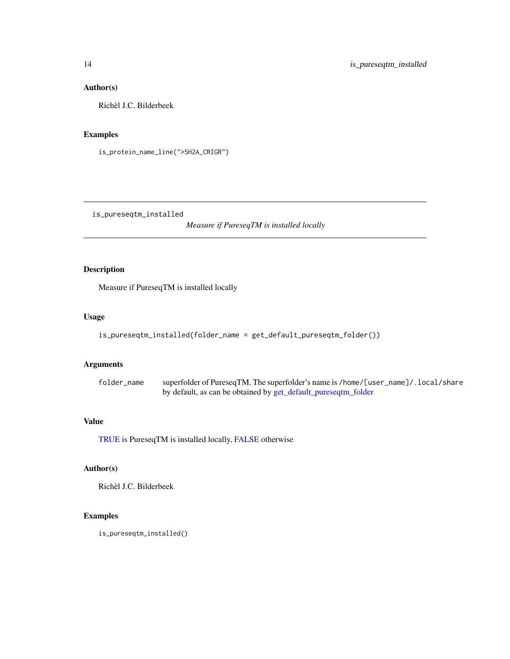#### Author(s)

Richèl J.C. Bilderbeek

#### Examples

is\_protein\_name\_line(">5H2A\_CRIGR")

is\_pureseqtm\_installed

*Measure if PureseqTM is installed locally*

#### Description

Measure if PureseqTM is installed locally

#### Usage

```
is_pureseqtm_installed(folder_name = get_default_pureseqtm_folder())
```
#### Arguments

| folder name | superfolder of PureseqTM. The superfolder's name is /home/[user_name]/. local/share |
|-------------|-------------------------------------------------------------------------------------|
|             | by default, as can be obtained by get_default_pureseqtm_folder                      |

#### Value

[TRUE](#page-0-0) is PureseqTM is installed locally, [FALSE](#page-0-0) otherwise

#### Author(s)

Richèl J.C. Bilderbeek

#### Examples

is\_pureseqtm\_installed()

<span id="page-13-0"></span>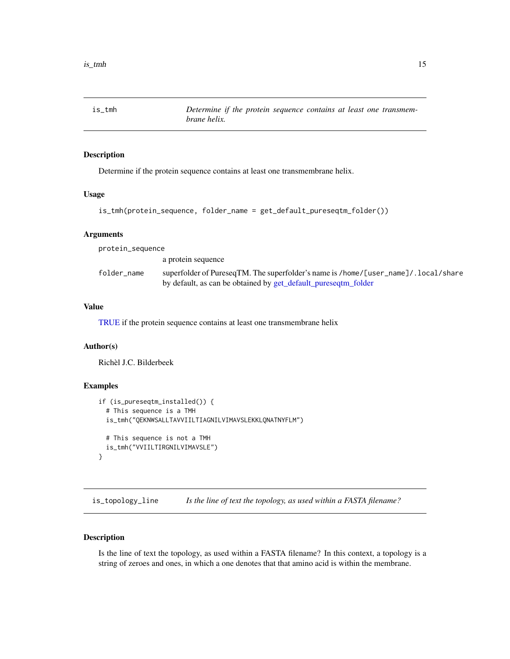<span id="page-14-0"></span>is\_tmh *Determine if the protein sequence contains at least one transmembrane helix.*

#### Description

Determine if the protein sequence contains at least one transmembrane helix.

#### Usage

```
is_tmh(protein_sequence, folder_name = get_default_pureseqtm_folder())
```
#### Arguments

| protein_sequence |                                                                                                                                                       |
|------------------|-------------------------------------------------------------------------------------------------------------------------------------------------------|
|                  | a protein sequence                                                                                                                                    |
| folder_name      | superfolder of PureseqTM. The superfolder's name is /home/[user_name]/. local/share<br>by default, as can be obtained by get_default_pureseqtm_folder |

#### Value

[TRUE](#page-0-0) if the protein sequence contains at least one transmembrane helix

#### Author(s)

Richèl J.C. Bilderbeek

#### Examples

```
if (is_pureseqtm_installed()) {
 # This sequence is a TMH
 is_tmh("QEKNWSALLTAVVIILTIAGNILVIMAVSLEKKLQNATNYFLM")
 # This sequence is not a TMH
 is_tmh("VVIILTIRGNILVIMAVSLE")
}
```
is\_topology\_line *Is the line of text the topology, as used within a FASTA filename?*

#### Description

Is the line of text the topology, as used within a FASTA filename? In this context, a topology is a string of zeroes and ones, in which a one denotes that that amino acid is within the membrane.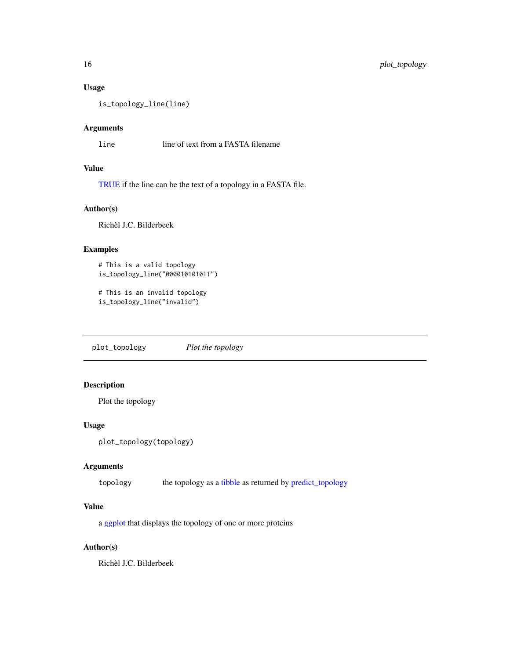#### Usage

is\_topology\_line(line)

#### Arguments

line line of text from a FASTA filename

#### Value

[TRUE](#page-0-0) if the line can be the text of a topology in a FASTA file.

#### Author(s)

Richèl J.C. Bilderbeek

#### Examples

```
# This is a valid topology
is_topology_line("000010101011")
```

```
# This is an invalid topology
is_topology_line("invalid")
```
plot\_topology *Plot the topology*

#### Description

Plot the topology

#### Usage

```
plot_topology(topology)
```
#### Arguments

topology the topology as a [tibble](#page-0-0) as returned by [predict\\_topology](#page-16-1)

#### Value

a [ggplot](#page-0-0) that displays the topology of one or more proteins

#### Author(s)

Richèl J.C. Bilderbeek

<span id="page-15-0"></span>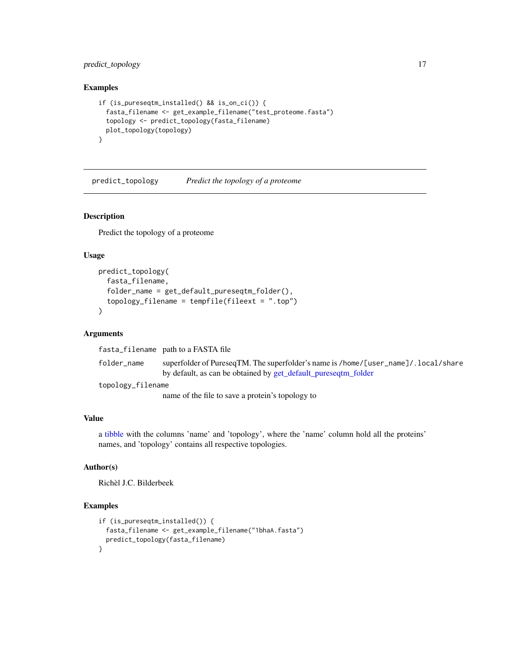#### <span id="page-16-0"></span>predict\_topology 17

#### Examples

```
if (is_pureseqtm_installed() && is_on_ci()) {
 fasta_filename <- get_example_filename("test_proteome.fasta")
 topology <- predict_topology(fasta_filename)
 plot_topology(topology)
}
```
<span id="page-16-1"></span>predict\_topology *Predict the topology of a proteome*

#### Description

Predict the topology of a proteome

#### Usage

```
predict_topology(
  fasta_filename,
  folder_name = get_default_pureseqtm_folder(),
  topology_filename = tempfile(fileext = ".top")
\mathcal{L}
```
#### Arguments

fasta\_filename path to a FASTA file

folder\_name superfolder of PureseqTM. The superfolder's name is /home/[user\_name]/.local/share by default, as can be obtained by [get\\_default\\_pureseqtm\\_folder](#page-6-1)

topology\_filename

name of the file to save a protein's topology to

#### Value

a [tibble](#page-0-0) with the columns 'name' and 'topology', where the 'name' column hold all the proteins' names, and 'topology' contains all respective topologies.

#### Author(s)

Richèl J.C. Bilderbeek

```
if (is_pureseqtm_installed()) {
 fasta_filename <- get_example_filename("1bhaA.fasta")
 predict_topology(fasta_filename)
}
```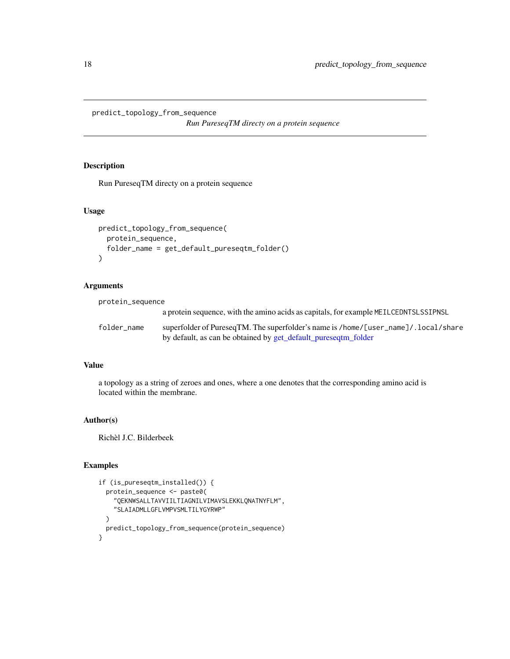<span id="page-17-0"></span>predict\_topology\_from\_sequence

*Run PureseqTM directy on a protein sequence*

#### Description

Run PureseqTM directy on a protein sequence

#### Usage

```
predict_topology_from_sequence(
 protein_sequence,
  folder_name = get_default_pureseqtm_folder()
)
```
#### Arguments

| protein_sequence |                                                                                                                                                       |
|------------------|-------------------------------------------------------------------------------------------------------------------------------------------------------|
|                  | a protein sequence, with the amino acids as capitals, for example MEILCEDNTSLSSIPNSL                                                                  |
| folder name      | superfolder of PureseqTM. The superfolder's name is /home/[user_name]/. local/share<br>by default, as can be obtained by get_default_pureseqtm_folder |

#### Value

a topology as a string of zeroes and ones, where a one denotes that the corresponding amino acid is located within the membrane.

#### Author(s)

Richèl J.C. Bilderbeek

```
if (is_pureseqtm_installed()) {
 protein_sequence <- paste0(
    "QEKNWSALLTAVVIILTIAGNILVIMAVSLEKKLQNATNYFLM",
    "SLAIADMLLGFLVMPVSMLTILYGYRWP"
 \lambdapredict_topology_from_sequence(protein_sequence)
}
```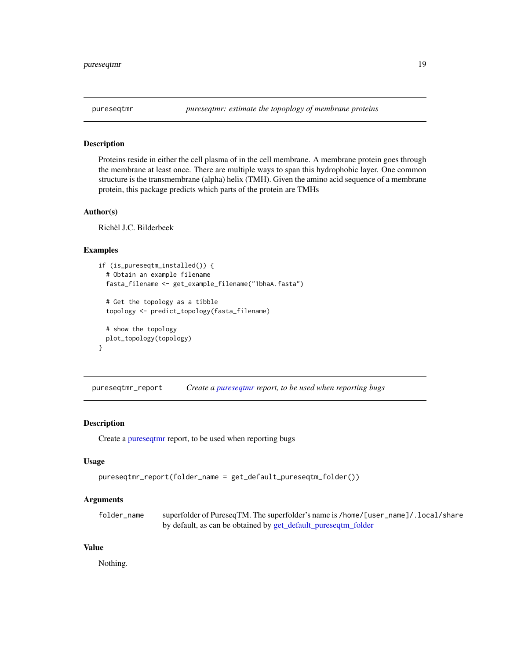<span id="page-18-1"></span><span id="page-18-0"></span>

#### Description

Proteins reside in either the cell plasma of in the cell membrane. A membrane protein goes through the membrane at least once. There are multiple ways to span this hydrophobic layer. One common structure is the transmembrane (alpha) helix (TMH). Given the amino acid sequence of a membrane protein, this package predicts which parts of the protein are TMHs

#### Author(s)

Richèl J.C. Bilderbeek

#### Examples

```
if (is_pureseqtm_installed()) {
 # Obtain an example filename
 fasta_filename <- get_example_filename("1bhaA.fasta")
 # Get the topology as a tibble
 topology <- predict_topology(fasta_filename)
 # show the topology
 plot_topology(topology)
}
```
pureseqtmr\_report *Create a [pureseqtmr](#page-18-1) report, to be used when reporting bugs*

#### Description

Create a [pureseqtmr](#page-18-1) report, to be used when reporting bugs

#### Usage

```
pureseqtmr_report(folder_name = get_default_pureseqtm_folder())
```
#### Arguments

| folder name | superfolder of PureseqTM. The superfolder's name is /home/[user_name]/. local/share |
|-------------|-------------------------------------------------------------------------------------|
|             | by default, as can be obtained by get_default_pureseqtm_folder                      |

#### Value

Nothing.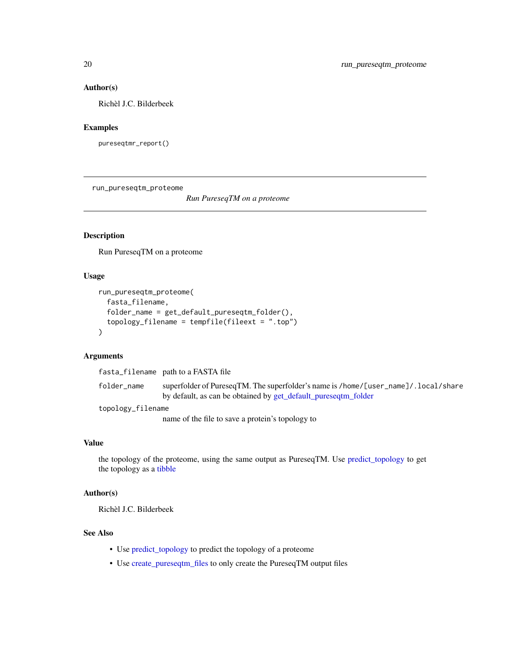#### Author(s)

Richèl J.C. Bilderbeek

#### Examples

pureseqtmr\_report()

run\_pureseqtm\_proteome

*Run PureseqTM on a proteome*

#### Description

Run PureseqTM on a proteome

#### Usage

```
run_pureseqtm_proteome(
  fasta_filename,
  folder_name = get_default_pureseqtm_folder(),
  topology_filename = tempfile(fileext = ".top")
\lambda
```
#### Arguments

fasta\_filename path to a FASTA file

folder\_name superfolder of PureseqTM. The superfolder's name is /home/[user\_name]/.local/share by default, as can be obtained by [get\\_default\\_pureseqtm\\_folder](#page-6-1)

topology\_filename

name of the file to save a protein's topology to

#### Value

the topology of the proteome, using the same output as PureseqTM. Use [predict\\_topology](#page-16-1) to get the topology as a [tibble](#page-0-0)

#### Author(s)

Richèl J.C. Bilderbeek

#### See Also

- Use [predict\\_topology](#page-16-1) to predict the topology of a proteome
- Use [create\\_pureseqtm\\_files](#page-3-1) to only create the PureseqTM output files

<span id="page-19-0"></span>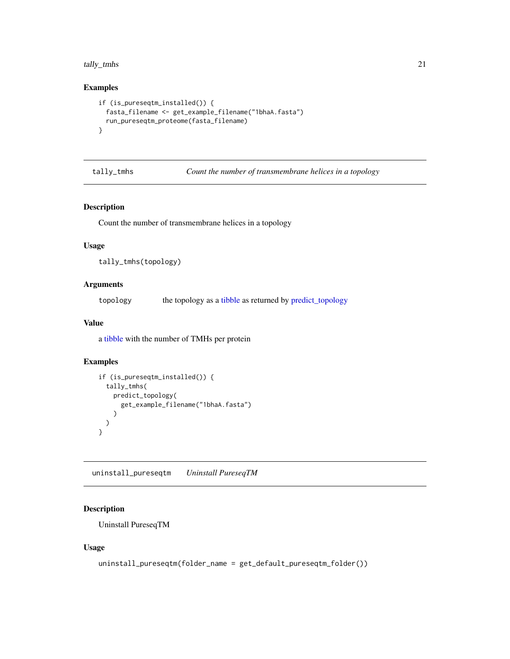#### <span id="page-20-0"></span>tally\_tmhs 21

#### Examples

```
if (is_pureseqtm_installed()) {
 fasta_filename <- get_example_filename("1bhaA.fasta")
 run_pureseqtm_proteome(fasta_filename)
}
```
tally\_tmhs *Count the number of transmembrane helices in a topology*

#### Description

Count the number of transmembrane helices in a topology

#### Usage

```
tally_tmhs(topology)
```
#### Arguments

topology the topology as a [tibble](#page-0-0) as returned by [predict\\_topology](#page-16-1)

#### Value

a [tibble](#page-0-0) with the number of TMHs per protein

#### Examples

```
if (is_pureseqtm_installed()) {
 tally_tmhs(
   predict_topology(
     get_example_filename("1bhaA.fasta")
   )
 )
}
```
uninstall\_pureseqtm *Uninstall PureseqTM*

#### Description

Uninstall PureseqTM

#### Usage

```
uninstall_pureseqtm(folder_name = get_default_pureseqtm_folder())
```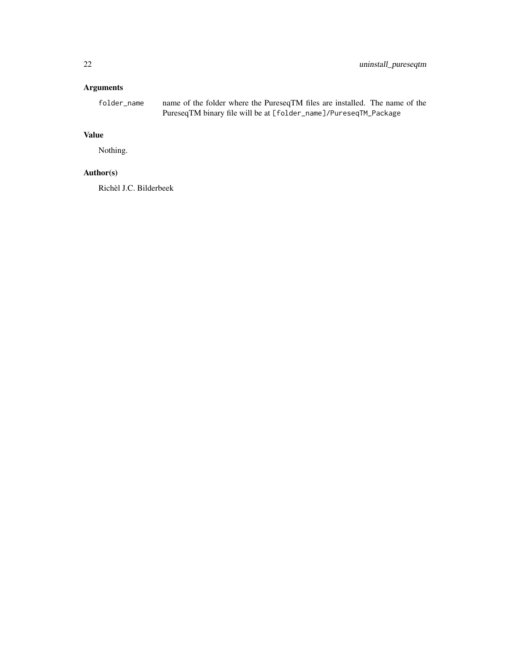#### Arguments

folder\_name name of the folder where the PureseqTM files are installed. The name of the PureseqTM binary file will be at [folder\_name]/PureseqTM\_Package

#### Value

Nothing.

#### Author(s)

Richèl J.C. Bilderbeek